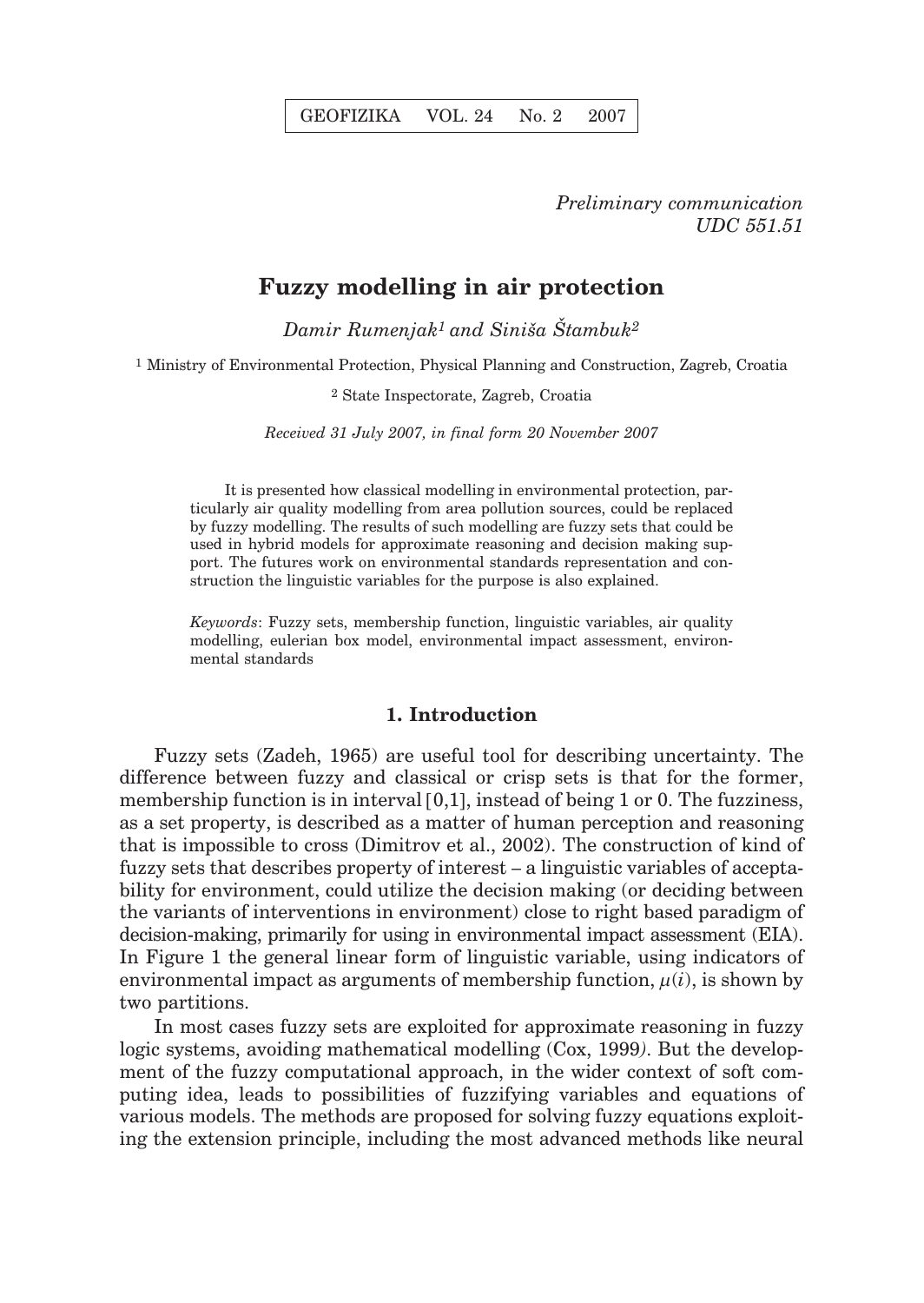## *Preliminary communication UDC 551.51*

## **Fuzzy modelling in air protection**

*Damir Rumenjak<sup>1</sup> and Siniša Štambuk<sup>2</sup>* 

1 Ministry of Environmental Protection, Physical Planning and Construction, Zagreb, Croatia

2 State Inspectorate, Zagreb, Croatia

*Received 31 July 2007, in final form 20 November 2007*

It is presented how classical modelling in environmental protection, particularly air quality modelling from area pollution sources, could be replaced by fuzzy modelling. The results of such modelling are fuzzy sets that could be used in hybrid models for approximate reasoning and decision making support. The futures work on environmental standards representation and construction the linguistic variables for the purpose is also explained.

*Keywords*: Fuzzy sets, membership function, linguistic variables, air quality modelling, eulerian box model, environmental impact assessment, environmental standards

### **1. Introduction**

Fuzzy sets (Zadeh, 1965) are useful tool for describing uncertainty. The difference between fuzzy and classical or crisp sets is that for the former, membership function is in interval [0,1], instead of being 1 or 0. The fuzziness, as a set property, is described as a matter of human perception and reasoning that is impossible to cross (Dimitrov et al., 2002). The construction of kind of fuzzy sets that describes property of interest – a linguistic variables of acceptability for environment, could utilize the decision making (or deciding between the variants of interventions in environment) close to right based paradigm of decision-making, primarily for using in environmental impact assessment (EIA). In Figure 1 the general linear form of linguistic variable, using indicators of environmental impact as arguments of membership function,  $\mu(i)$ , is shown by two partitions.

In most cases fuzzy sets are exploited for approximate reasoning in fuzzy logic systems, avoiding mathematical modelling (Cox, 1999*)*. But the development of the fuzzy computational approach, in the wider context of soft computing idea, leads to possibilities of fuzzifying variables and equations of various models. The methods are proposed for solving fuzzy equations exploiting the extension principle, including the most advanced methods like neural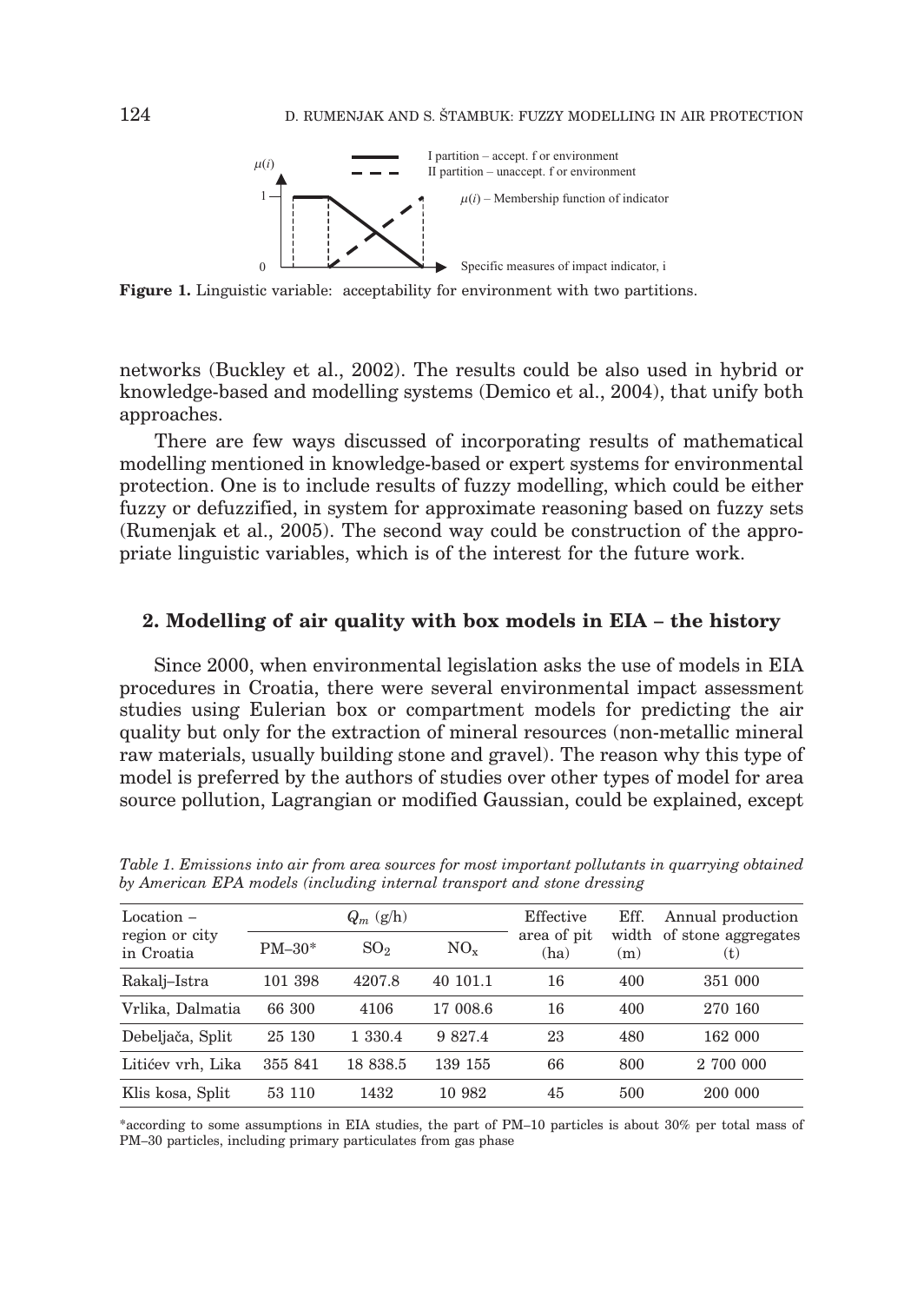

**Figure 1.** Linguistic variable: acceptability for environment with two partitions.

networks (Buckley et al., 2002). The results could be also used in hybrid or knowledge-based and modelling systems (Demico et al., 2004), that unify both approaches.

There are few ways discussed of incorporating results of mathematical modelling mentioned in knowledge-based or expert systems for environmental protection. One is to include results of fuzzy modelling, which could be either fuzzy or defuzzified, in system for approximate reasoning based on fuzzy sets (Rumenjak et al., 2005). The second way could be construction of the appropriate linguistic variables, which is of the interest for the future work.

#### **2. Modelling of air quality with box models in EIA – the history**

Since 2000, when environmental legislation asks the use of models in EIA procedures in Croatia, there were several environmental impact assessment studies using Eulerian box or compartment models for predicting the air quality but only for the extraction of mineral resources (non-metallic mineral raw materials, usually building stone and gravel). The reason why this type of model is preferred by the authors of studies over other types of model for area source pollution, Lagrangian or modified Gaussian, could be explained, except

| Location –                   | $Q_m$ (g/h) |                 |          | Effective           | Eff. | Annual production                |
|------------------------------|-------------|-----------------|----------|---------------------|------|----------------------------------|
| region or city<br>in Croatia | $PM-30*$    | SO <sub>2</sub> | $NO_{x}$ | area of pit<br>(ha) | (m)  | width of stone aggregates<br>(t) |
| Rakalj–Istra                 | 101 398     | 4207.8          | 40 101.1 | 16                  | 400  | 351 000                          |
| Vrlika, Dalmatia             | 66 300      | 4106            | 17 008.6 | 16                  | 400  | 270 160                          |
| Debeljača, Split             | 25 130      | 1 330.4         | 9 827.4  | 23                  | 480  | 162 000                          |
| Litićev vrh, Lika            | 355 841     | 18 838.5        | 139 155  | 66                  | 800  | 2 700 000                        |
| Klis kosa, Split             | 53 110      | 1432            | 10 982   | 45                  | 500  | 200 000                          |

*Table 1. Emissions into air from area sources for most important pollutants in quarrying obtained by American EPA models (including internal transport and stone dressing*

\*according to some assumptions in EIA studies, the part of PM–10 particles is about 30% per total mass of PM–30 particles, including primary particulates from gas phase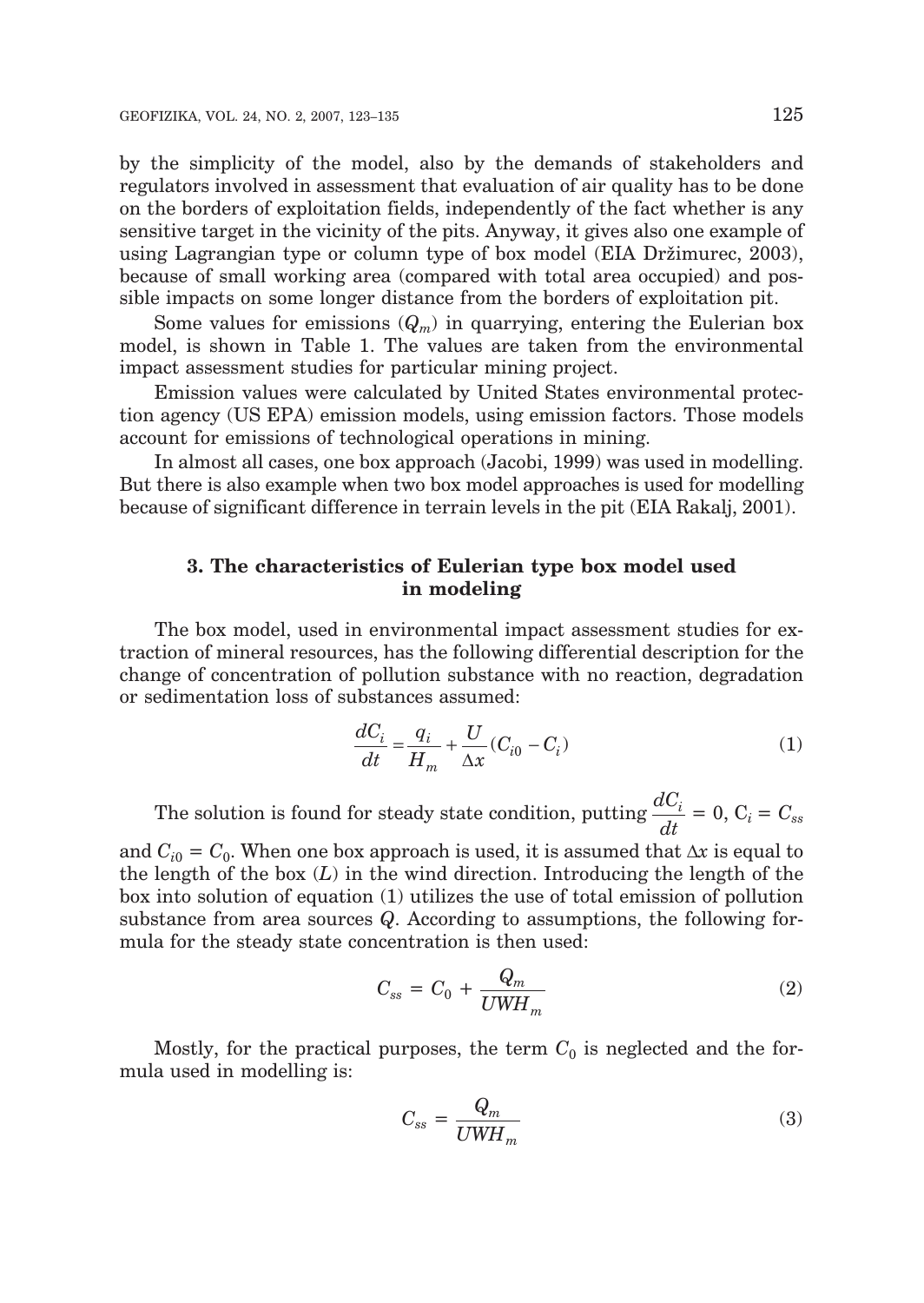by the simplicity of the model, also by the demands of stakeholders and regulators involved in assessment that evaluation of air quality has to be done on the borders of exploitation fields, independently of the fact whether is any sensitive target in the vicinity of the pits. Anyway, it gives also one example of using Lagrangian type or column type of box model (EIA Držimurec, 2003), because of small working area (compared with total area occupied) and possible impacts on some longer distance from the borders of exploitation pit.

Some values for emissions  $(Q_m)$  in quarrying, entering the Eulerian box model, is shown in Table 1. The values are taken from the environmental impact assessment studies for particular mining project.

Emission values were calculated by United States environmental protection agency (US EPA) emission models, using emission factors. Those models account for emissions of technological operations in mining.

In almost all cases, one box approach (Jacobi, 1999) was used in modelling. But there is also example when two box model approaches is used for modelling because of significant difference in terrain levels in the pit (EIA Rakalj, 2001).

## **3. The characteristics of Eulerian type box model used in modeling**

The box model, used in environmental impact assessment studies for extraction of mineral resources, has the following differential description for the change of concentration of pollution substance with no reaction, degradation or sedimentation loss of substances assumed:

$$
\frac{dC_i}{dt} = \frac{q_i}{H_m} + \frac{U}{\Delta x}(C_{i0} - C_i)
$$
\n(1)

The solution is found for steady state condition, putting *dC*  $\frac{dC_i}{dt} = 0$ ,  $C_i = C_{ss}$ 

and  $C_{i0} = C_0$ . When one box approach is used, it is assumed that  $\Delta x$  is equal to the length of the box (*L*) in the wind direction. Introducing the length of the box into solution of equation (1) utilizes the use of total emission of pollution substance from area sources *Q*. According to assumptions, the following formula for the steady state concentration is then used:

$$
C_{ss} = C_0 + \frac{Q_m}{UWH_m} \tag{2}
$$

Mostly, for the practical purposes, the term  $C_0$  is neglected and the formula used in modelling is:

$$
C_{ss} = \frac{Q_m}{UWH_m} \tag{3}
$$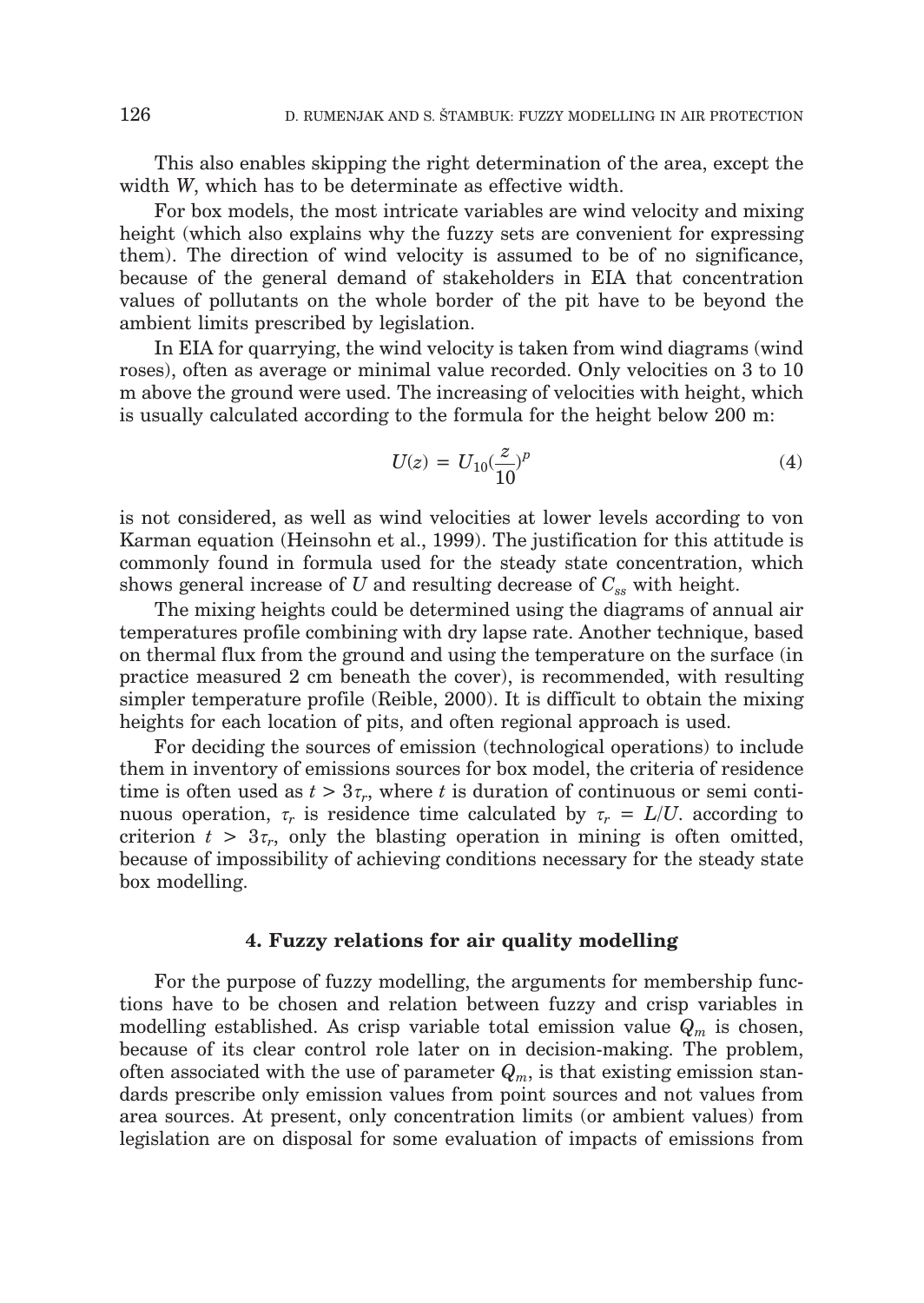This also enables skipping the right determination of the area, except the width *W*, which has to be determinate as effective width.

For box models, the most intricate variables are wind velocity and mixing height (which also explains why the fuzzy sets are convenient for expressing them). The direction of wind velocity is assumed to be of no significance, because of the general demand of stakeholders in EIA that concentration values of pollutants on the whole border of the pit have to be beyond the ambient limits prescribed by legislation.

In EIA for quarrying, the wind velocity is taken from wind diagrams (wind roses), often as average or minimal value recorded. Only velocities on 3 to 10 m above the ground were used. The increasing of velocities with height, which is usually calculated according to the formula for the height below 200 m:

$$
U(z) = U_{10}(\frac{z}{10})^p
$$
 (4)

is not considered, as well as wind velocities at lower levels according to von Karman equation (Heinsohn et al., 1999). The justification for this attitude is commonly found in formula used for the steady state concentration, which shows general increase of *U* and resulting decrease of  $C_{ss}$  with height.

The mixing heights could be determined using the diagrams of annual air temperatures profile combining with dry lapse rate. Another technique, based on thermal flux from the ground and using the temperature on the surface (in practice measured 2 cm beneath the cover), is recommended, with resulting simpler temperature profile (Reible, 2000). It is difficult to obtain the mixing heights for each location of pits, and often regional approach is used.

For deciding the sources of emission (technological operations) to include them in inventory of emissions sources for box model, the criteria of residence time is often used as  $t > 3\tau_r$ , where t is duration of continuous or semi continuous operation,  $\tau_r$  is residence time calculated by  $\tau_r = L/U$ . according to criterion  $t > 3\tau_r$ , only the blasting operation in mining is often omitted, because of impossibility of achieving conditions necessary for the steady state box modelling.

#### **4. Fuzzy relations for air quality modelling**

For the purpose of fuzzy modelling, the arguments for membership functions have to be chosen and relation between fuzzy and crisp variables in modelling established. As crisp variable total emission value *Qm* is chosen, because of its clear control role later on in decision-making. The problem, often associated with the use of parameter  $Q_m$ , is that existing emission standards prescribe only emission values from point sources and not values from area sources. At present, only concentration limits (or ambient values) from legislation are on disposal for some evaluation of impacts of emissions from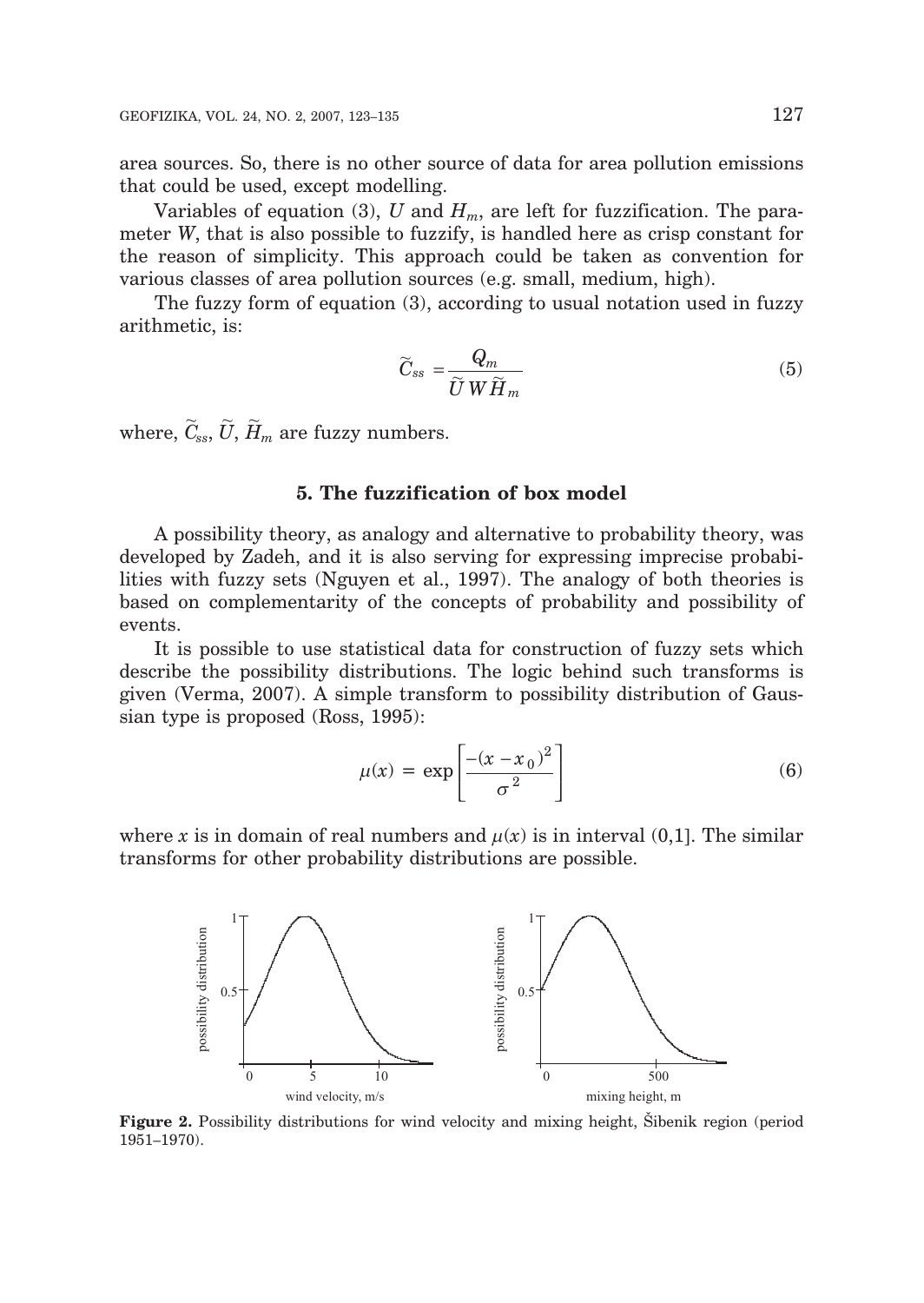area sources. So, there is no other source of data for area pollution emissions that could be used, except modelling.

Variables of equation (3),  $U$  and  $H_m$ , are left for fuzzification. The parameter *W*, that is also possible to fuzzify, is handled here as crisp constant for the reason of simplicity. This approach could be taken as convention for various classes of area pollution sources (e.g. small, medium, high).

The fuzzy form of equation (3), according to usual notation used in fuzzy arithmetic, is:

$$
\widetilde{C}_{ss} = \frac{Q_m}{\widetilde{U} W \widetilde{H}_m} \tag{5}
$$

where,  $\widetilde{C}_{ss}, \widetilde{U}, \widetilde{H}_m$  are fuzzy numbers.

## **5. The fuzzification of box model**

A possibility theory, as analogy and alternative to probability theory, was developed by Zadeh, and it is also serving for expressing imprecise probabilities with fuzzy sets (Nguyen et al., 1997). The analogy of both theories is based on complementarity of the concepts of probability and possibility of events.

It is possible to use statistical data for construction of fuzzy sets which describe the possibility distributions. The logic behind such transforms is given (Verma, 2007). A simple transform to possibility distribution of Gaussian type is proposed (Ross, 1995):

$$
\mu(x) = \exp\left[\frac{-(x - x_0)^2}{\sigma^2}\right] \tag{6}
$$

where x is in domain of real numbers and  $\mu(x)$  is in interval (0,1). The similar transforms for other probability distributions are possible.



**Figure 2.** Possibility distributions for wind velocity and mixing height, Sibenik region (period 1951–1970).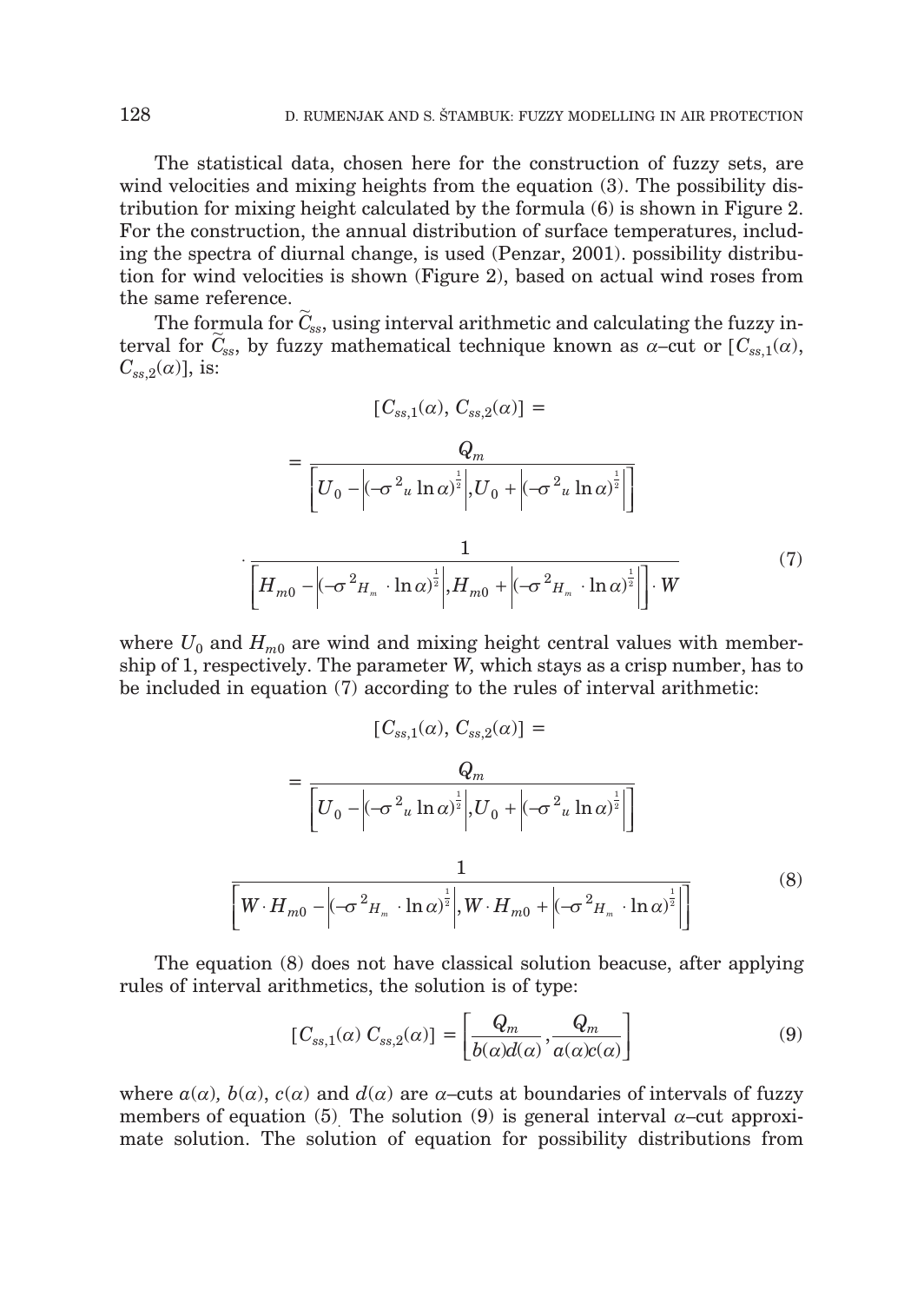The statistical data, chosen here for the construction of fuzzy sets, are wind velocities and mixing heights from the equation (3). The possibility distribution for mixing height calculated by the formula (6) is shown in Figure 2. For the construction, the annual distribution of surface temperatures, including the spectra of diurnal change, is used (Penzar, 2001). possibility distribution for wind velocities is shown (Figure 2), based on actual wind roses from the same reference.

The formula for  $\widetilde{C}_{ss}$ , using interval arithmetic and calculating the fuzzy interval for  $\tilde{C}_{ss}$ , by fuzzy mathematical technique known as  $\alpha$ –cut or  $[C_{ss,1}(\alpha),$  $C_{ss,2}(\alpha)$ ], is:

$$
[C_{ss,1}(\alpha), C_{ss,2}(\alpha)] =
$$
  

$$
= \frac{Q_m}{\left[U_0 - \left|(-\sigma^2 u \ln \alpha)^{\frac{1}{2}}\right|, U_0 + \left|(-\sigma^2 u \ln \alpha)^{\frac{1}{2}}\right|\right]}
$$
  

$$
\left[H_{m0} - \left|(-\sigma^2 H_m \cdot \ln \alpha)^{\frac{1}{2}}\right|, H_{m0} + \left|(-\sigma^2 H_m \cdot \ln \alpha)^{\frac{1}{2}}\right|\right] \cdot W
$$
 (7)

where  $U_0$  and  $H_{m0}$  are wind and mixing height central values with membership of 1, respectively. The parameter *W,* which stays as a crisp number, has to be included in equation (7) according to the rules of interval arithmetic:

$$
[C_{ss,1}(\alpha), C_{ss,2}(\alpha)] =
$$
  

$$
= \frac{Q_m}{\left[U_0 - \left|(-\sigma^2 u \ln \alpha)^{\frac{1}{2}}\right|, U_0 + \left|(-\sigma^2 u \ln \alpha)^{\frac{1}{2}}\right|\right]}
$$
  

$$
\frac{1}{\left[W \cdot H_{m0} - \left|(-\sigma^2 H_m \cdot \ln \alpha)^{\frac{1}{2}}\right|, W \cdot H_{m0} + \left|(-\sigma^2 H_m \cdot \ln \alpha)^{\frac{1}{2}}\right|\right]}
$$
(8)

The equation (8) does not have classical solution beacuse, after applying rules of interval arithmetics, the solution is of type:

$$
[C_{ss,1}(\alpha) C_{ss,2}(\alpha)] = \left[\frac{Q_m}{b(\alpha)d(\alpha)}, \frac{Q_m}{a(\alpha)c(\alpha)}\right]
$$
(9)

where  $a(\alpha)$ ,  $b(\alpha)$ ,  $c(\alpha)$  and  $d(\alpha)$  are  $\alpha$ –cuts at boundaries of intervals of fuzzy members of equation (5) The solution (9) is general interval  $\alpha$ –cut approximate solution. The solution of equation for possibility distributions from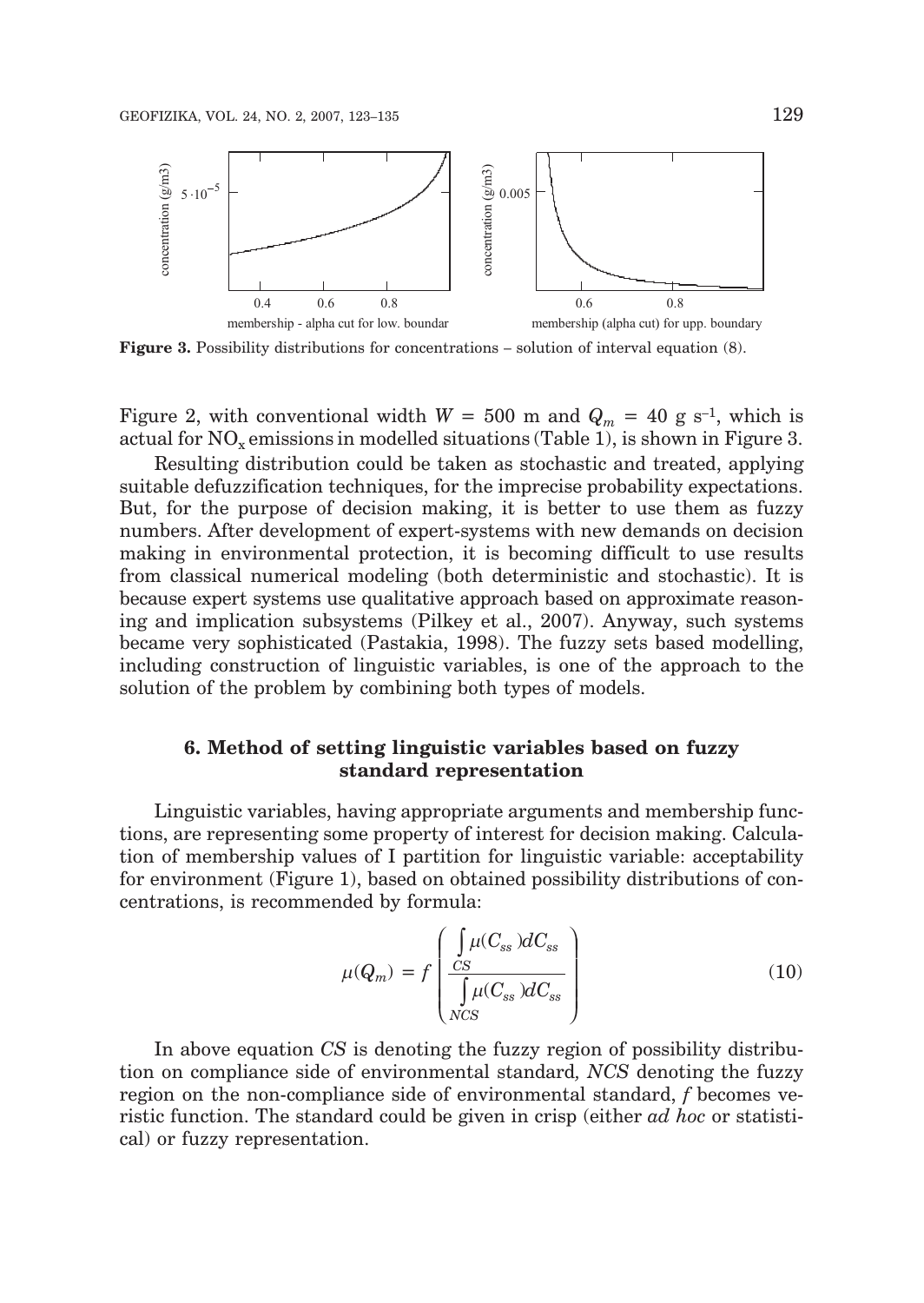

**Figure 3.** Possibility distributions for concentrations – solution of interval equation (8).

Figure 2, with conventional width  $W = 500$  m and  $Q_m = 40$  g s<sup>-1</sup>, which is actual for  $NO<sub>x</sub>$  emissions in modelled situations (Table 1), is shown in Figure 3.

Resulting distribution could be taken as stochastic and treated, applying suitable defuzzification techniques, for the imprecise probability expectations. But, for the purpose of decision making, it is better to use them as fuzzy numbers. After development of expert-systems with new demands on decision making in environmental protection, it is becoming difficult to use results from classical numerical modeling (both deterministic and stochastic). It is because expert systems use qualitative approach based on approximate reasoning and implication subsystems (Pilkey et al., 2007). Anyway, such systems became very sophisticated (Pastakia, 1998). The fuzzy sets based modelling, including construction of linguistic variables, is one of the approach to the solution of the problem by combining both types of models.

## **6. Method of setting linguistic variables based on fuzzy standard representation**

Linguistic variables, having appropriate arguments and membership functions, are representing some property of interest for decision making. Calculation of membership values of I partition for linguistic variable: acceptability for environment (Figure 1), based on obtained possibility distributions of concentrations, is recommended by formula:

$$
\mu(Q_m) = f\left(\frac{\int_{CS} \mu(C_{ss}) dC_{ss}}{\int_{NCS} \mu(C_{ss}) dC_{ss}}\right)
$$
\n(10)

In above equation *CS* is denoting the fuzzy region of possibility distribution on compliance side of environmental standard*, NCS* denoting the fuzzy region on the non-compliance side of environmental standard, *f* becomes veristic function. The standard could be given in crisp (either *ad hoc* or statistical) or fuzzy representation.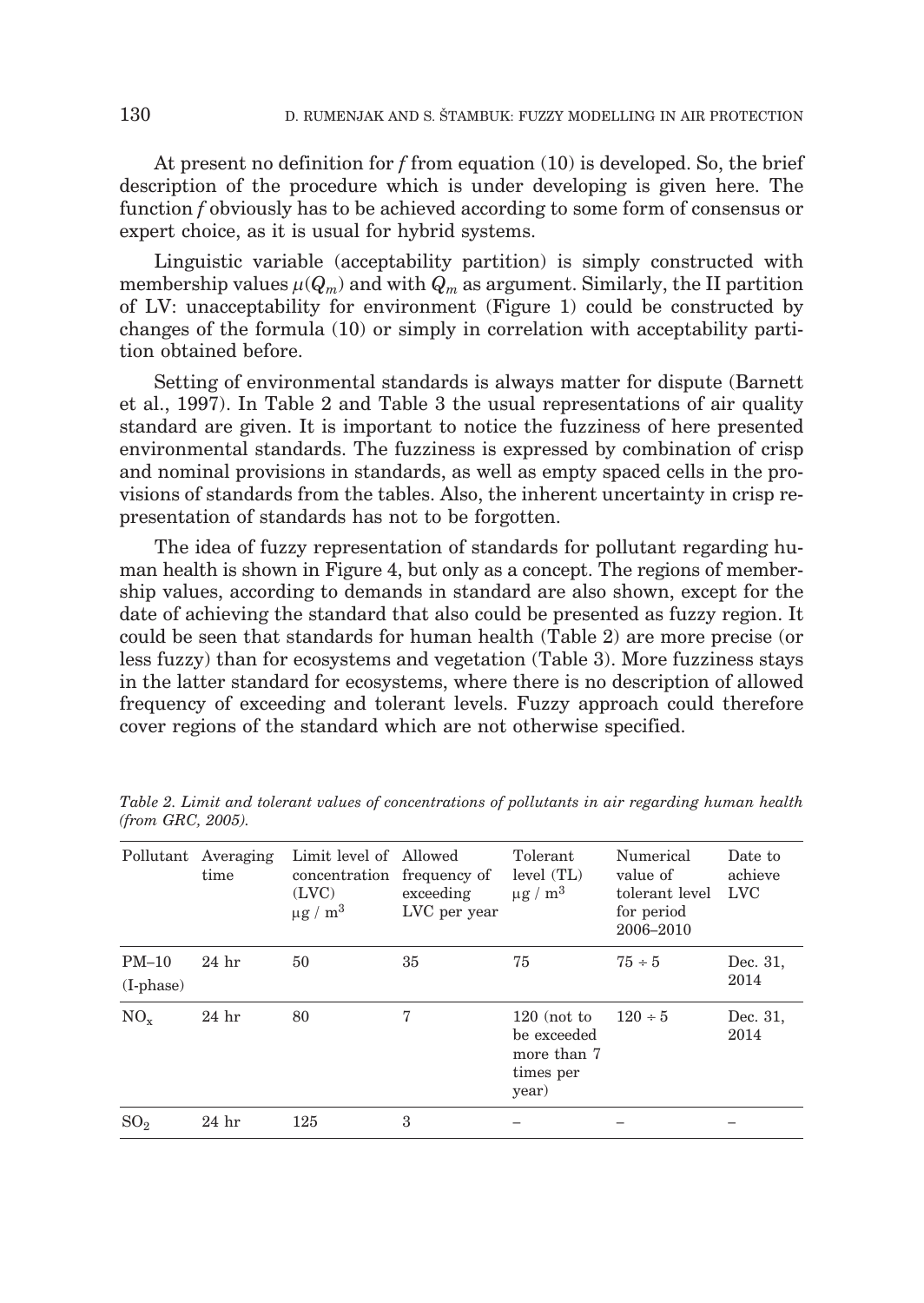At present no definition for *f* from equation (10) is developed. So, the brief description of the procedure which is under developing is given here. The function *f* obviously has to be achieved according to some form of consensus or expert choice, as it is usual for hybrid systems.

Linguistic variable (acceptability partition) is simply constructed with membership values  $\mu(Q_m)$  and with  $Q_m$  as argument. Similarly, the II partition of LV: unacceptability for environment (Figure 1) could be constructed by changes of the formula (10) or simply in correlation with acceptability partition obtained before.

Setting of environmental standards is always matter for dispute (Barnett et al., 1997). In Table 2 and Table 3 the usual representations of air quality standard are given. It is important to notice the fuzziness of here presented environmental standards. The fuzziness is expressed by combination of crisp and nominal provisions in standards, as well as empty spaced cells in the provisions of standards from the tables. Also, the inherent uncertainty in crisp representation of standards has not to be forgotten.

The idea of fuzzy representation of standards for pollutant regarding human health is shown in Figure 4, but only as a concept. The regions of membership values, according to demands in standard are also shown, except for the date of achieving the standard that also could be presented as fuzzy region. It could be seen that standards for human health (Table 2) are more precise (or less fuzzy) than for ecosystems and vegetation (Table 3). More fuzziness stays in the latter standard for ecosystems, where there is no description of allowed frequency of exceeding and tolerant levels. Fuzzy approach could therefore cover regions of the standard which are not otherwise specified.

| Pollutant                  | Averaging<br>time | Limit level of Allowed<br>concentration<br>(LVC)<br>$\mu$ g / m <sup>3</sup> | frequency of<br>exceeding<br>LVC per year | Tolerant<br>level (TL)<br>$\mu$ g / m <sup>3</sup>                | Numerical<br>value of<br>tolerant level<br>for period<br>2006-2010 | Date to<br>achieve<br><b>LVC</b> |
|----------------------------|-------------------|------------------------------------------------------------------------------|-------------------------------------------|-------------------------------------------------------------------|--------------------------------------------------------------------|----------------------------------|
| $PM-10$<br>$(I$ -phase $)$ | $24$ hr           | 50                                                                           | 35                                        | 75                                                                | $75 \div 5$                                                        | Dec. 31,<br>2014                 |
| $NO_{v}$                   | 24 <sub>hr</sub>  | 80                                                                           | 7                                         | $120$ (not to<br>be exceeded<br>more than 7<br>times per<br>year) | $120 \div 5$                                                       | Dec. 31,<br>2014                 |
| SO <sub>2</sub>            | 24 <sub>hr</sub>  | 125                                                                          | 3                                         |                                                                   |                                                                    |                                  |

*Table 2. Limit and tolerant values of concentrations of pollutants in air regarding human health (from GRC, 2005).*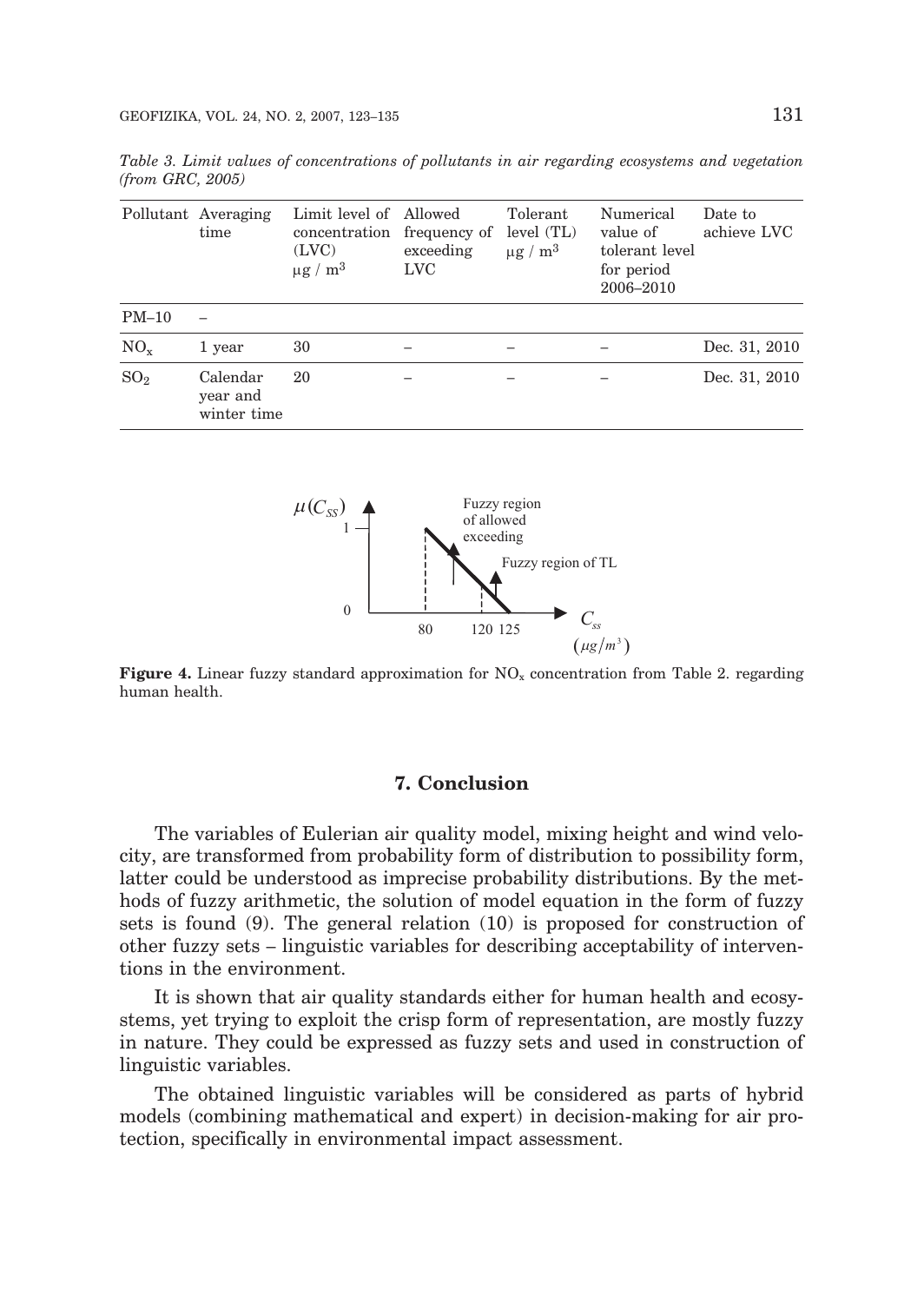*Table 3. Limit values of concentrations of pollutants in air regarding ecosystems and vegetation (from GRC, 2005)*

|                 | Pollutant Averaging<br>time         | Limit level of Allowed<br>concentration<br>(LVC)<br>$\mu$ g / m <sup>3</sup> | frequency of<br>exceeding<br><b>LVC</b> | Tolerant<br>level (TL)<br>$\mu$ g / m <sup>3</sup> | Numerical<br>value of<br>tolerant level<br>for period<br>2006-2010 | Date to<br>achieve LVC |
|-----------------|-------------------------------------|------------------------------------------------------------------------------|-----------------------------------------|----------------------------------------------------|--------------------------------------------------------------------|------------------------|
| $PM-10$         |                                     |                                                                              |                                         |                                                    |                                                                    |                        |
| $NO_{x}$        | 1 year                              | 30                                                                           |                                         |                                                    |                                                                    | Dec. 31, 2010          |
| SO <sub>2</sub> | Calendar<br>year and<br>winter time | 20                                                                           |                                         |                                                    |                                                                    | Dec. 31, 2010          |



**Figure 4.** Linear fuzzy standard approximation for NO<sub>x</sub> concentration from Table 2. regarding human health.

### **7. Conclusion**

The variables of Eulerian air quality model, mixing height and wind velocity, are transformed from probability form of distribution to possibility form, latter could be understood as imprecise probability distributions. By the methods of fuzzy arithmetic, the solution of model equation in the form of fuzzy sets is found (9). The general relation (10) is proposed for construction of other fuzzy sets – linguistic variables for describing acceptability of interventions in the environment.

It is shown that air quality standards either for human health and ecosystems, yet trying to exploit the crisp form of representation, are mostly fuzzy in nature. They could be expressed as fuzzy sets and used in construction of linguistic variables.

The obtained linguistic variables will be considered as parts of hybrid models (combining mathematical and expert) in decision-making for air protection, specifically in environmental impact assessment.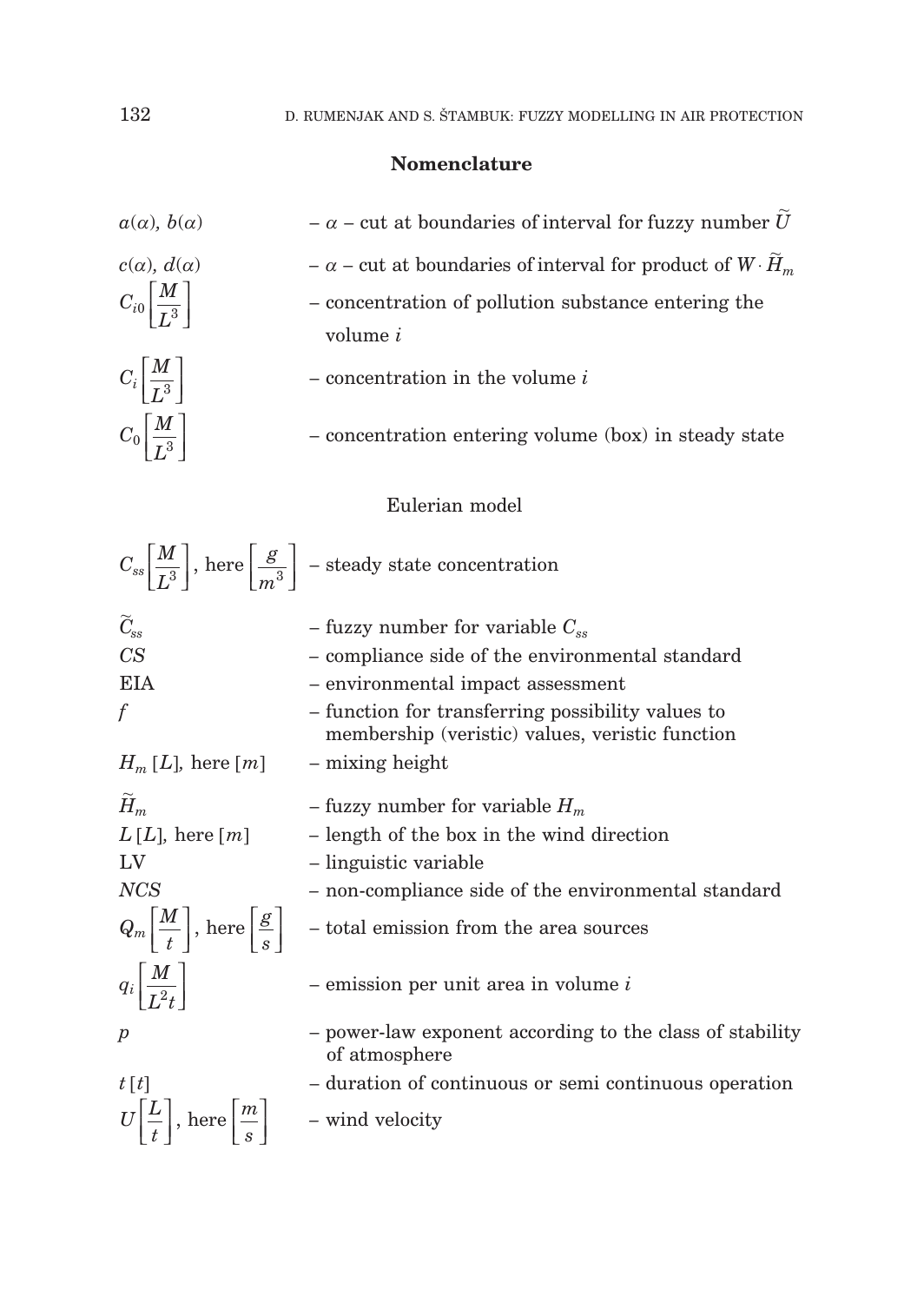## **Nomenclature**

| $a(\alpha)$ , $b(\alpha)$                                            | $-\alpha$ - cut at boundaries of interval for fuzzy number U                                             |
|----------------------------------------------------------------------|----------------------------------------------------------------------------------------------------------|
| $c(\alpha)$ , $d(\alpha)$                                            | $-\alpha$ – cut at boundaries of interval for product of $W \cdot \tilde{H}_m$                           |
| $C_{i0}\left[\frac{M}{I^3}\right]$                                   | - concentration of pollution substance entering the<br>volume <i>i</i>                                   |
| $C_i\left \frac{M}{L^3}\right $                                      | $-$ concentration in the volume $i$                                                                      |
| $C_0\left \frac{M}{I^3}\right $                                      | - concentration entering volume (box) in steady state                                                    |
|                                                                      | Eulerian model                                                                                           |
|                                                                      | $C_{ss} \left  \frac{M}{I^3} \right $ , here $\left  \frac{g}{m^3} \right $ – steady state concentration |
| $\widetilde{C}_{\rm ss}$                                             | - fuzzy number for variable $C_{ss}$                                                                     |
| CS                                                                   | - compliance side of the environmental standard                                                          |
| <b>EIA</b>                                                           | - environmental impact assessment                                                                        |
| $\int$                                                               | - function for transferring possibility values to<br>membership (veristic) values, veristic function     |
| $H_m[L]$ , here [m]                                                  | - mixing height                                                                                          |
| $\widetilde{H}_m$                                                    | - fuzzy number for variable $H_m$                                                                        |
| $L[L]$ , here $[m]$                                                  | - length of the box in the wind direction                                                                |
| LV                                                                   | - linguistic variable                                                                                    |
| <b>NCS</b>                                                           | - non-compliance side of the environmental standard                                                      |
| $Q_m \left[ \frac{M}{t} \right]$ , here $\left[ \frac{g}{s} \right]$ | - total emission from the area sources                                                                   |
| $q_i\left \frac{M}{L^2t}\right $                                     | $-$ emission per unit area in volume $i$                                                                 |
| р                                                                    | - power-law exponent according to the class of stability<br>of atmosphere                                |
| t[t]                                                                 | - duration of continuous or semi continuous operation                                                    |
| $U\left \frac{L}{t}\right $ , here $\left[\frac{m}{s}\right]$        | - wind velocity                                                                                          |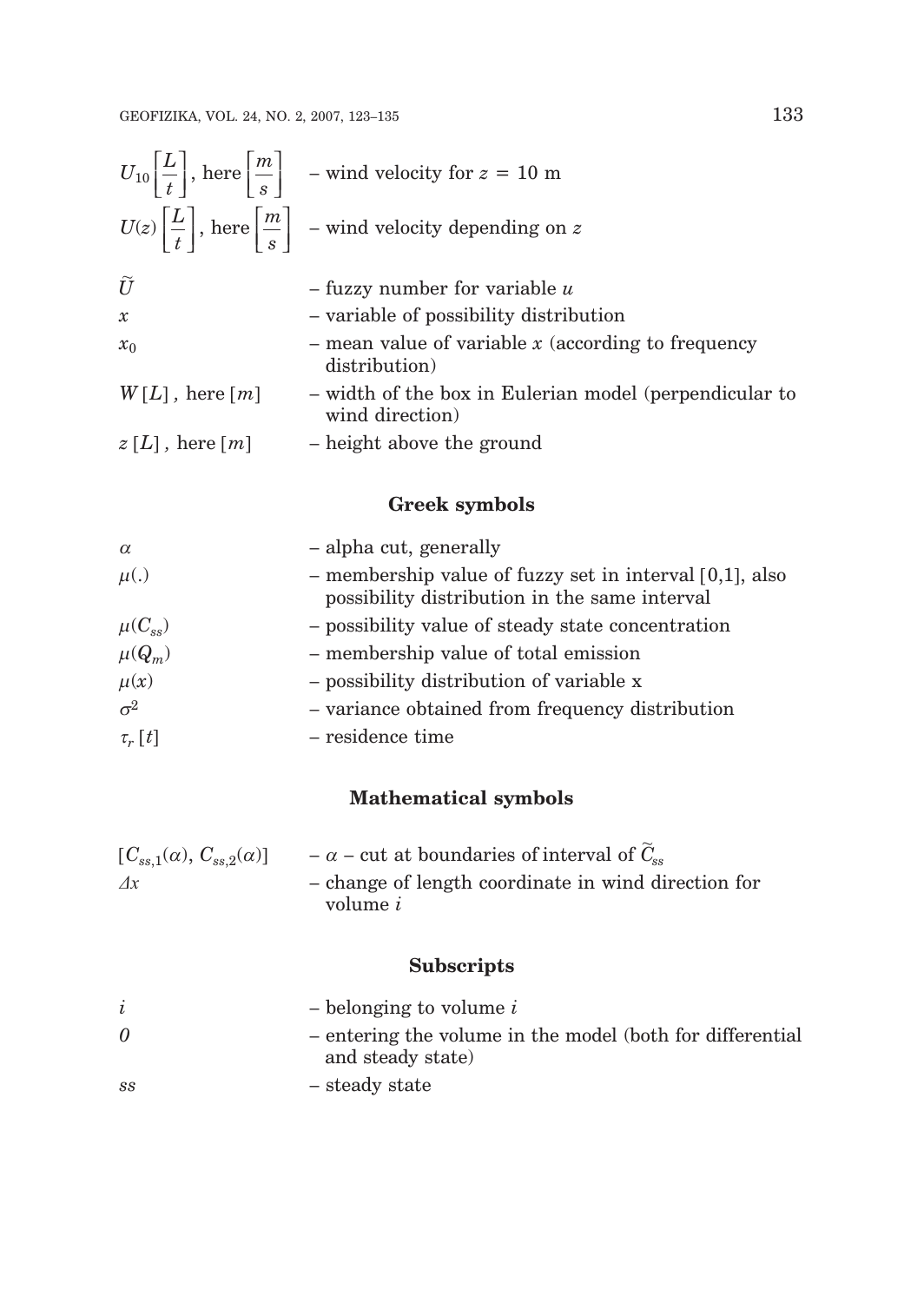|                     | $U_{10}\left \frac{L}{t}\right $ , here $\left \frac{m}{s}\right $ – wind velocity for $z = 10$ m |
|---------------------|---------------------------------------------------------------------------------------------------|
|                     | $U(z)\left \frac{L}{t}\right $ , here $\left \frac{m}{s}\right $ – wind velocity depending on z   |
| $\tilde{U}$         | $-$ fuzzy number for variable $u$                                                                 |
| $\mathcal{X}$       | - variable of possibility distribution                                                            |
| $x_0$               | $-$ mean value of variable x (according to frequency<br>distribution)                             |
| $W[L]$ , here $[m]$ | - width of the box in Eulerian model (perpendicular to<br>wind direction)                         |
| $z[L]$ , here $[m]$ | - height above the ground                                                                         |

## **Greek symbols**

| $\alpha$      | - alpha cut, generally                                                                                      |
|---------------|-------------------------------------------------------------------------------------------------------------|
| $\mu(.)$      | - membership value of fuzzy set in interval $[0,1]$ , also<br>possibility distribution in the same interval |
| $\mu(C_{ss})$ | - possibility value of steady state concentration                                                           |
| $\mu(Q_m)$    | - membership value of total emission                                                                        |
| $\mu(x)$      | - possibility distribution of variable x                                                                    |
| $\sigma^2$    | - variance obtained from frequency distribution                                                             |
| $\tau_r[t]$   | – residence time                                                                                            |

## **Mathematical symbols**

| $[C_{ss,1}(\alpha), C_{ss,2}(\alpha)]$ | $-\alpha$ – cut at boundaries of interval of $C_{\rm sc}$ |
|----------------------------------------|-----------------------------------------------------------|
| $\varLambda x$                         | - change of length coordinate in wind direction for       |
|                                        | volume <i>i</i>                                           |

# **Subscripts**

|          | $\sim$ belonging to volume i                              |
|----------|-----------------------------------------------------------|
| $\theta$ | - entering the volume in the model (both for differential |
|          | and steady state)                                         |
| SS       | – steady state                                            |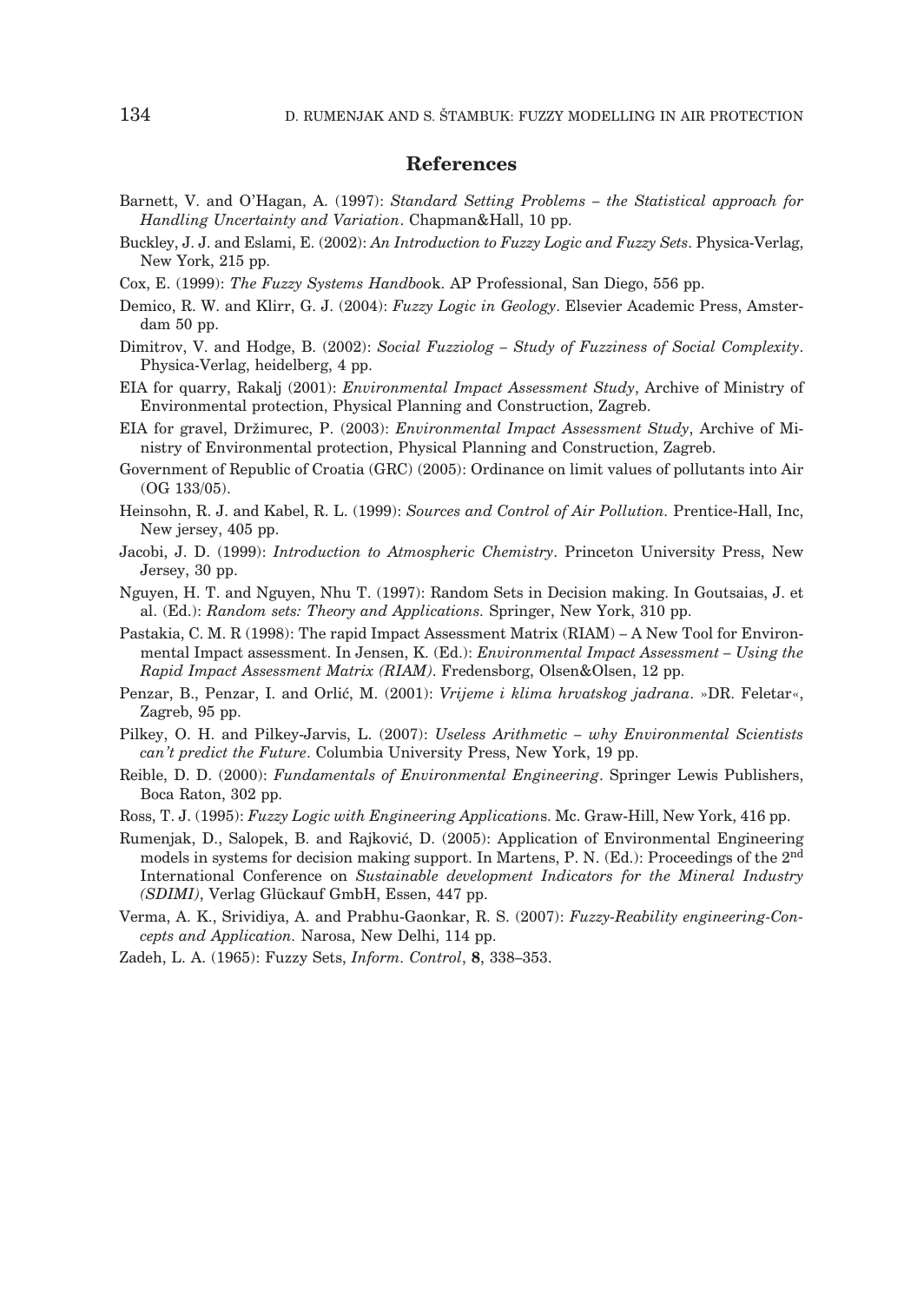#### **References**

- Barnett, V. and O'Hagan, A. (1997): *Standard Setting Problems the Statistical approach for Handling Uncertainty and Variation*. Chapman&Hall, 10 pp.
- Buckley, J. J. and Eslami, E. (2002): *An Introduction to Fuzzy Logic and Fuzzy Sets*. Physica-Verlag, New York, 215 pp.
- Cox, E. (1999): *The Fuzzy Systems Handboo*k. AP Professional, San Diego, 556 pp.
- Demico, R. W. and Klirr, G. J. (2004): *Fuzzy Logic in Geology*. Elsevier Academic Press, Amsterdam 50 pp.
- Dimitrov, V. and Hodge, B. (2002): *Social Fuzziolog Study of Fuzziness of Social Complexity*. Physica-Verlag, heidelberg, 4 pp.
- EIA for quarry, Rakalj (2001): *Environmental Impact Assessment Study*, Archive of Ministry of Environmental protection, Physical Planning and Construction, Zagreb.
- EIA for gravel, Dr`imurec, P. (2003): *Environmental Impact Assessment Study*, Archive of Ministry of Environmental protection, Physical Planning and Construction, Zagreb.
- Government of Republic of Croatia (GRC) (2005): Ordinance on limit values of pollutants into Air (OG 133/05).
- Heinsohn, R. J. and Kabel, R. L. (1999): *Sources and Control of Air Pollution.* Prentice-Hall, Inc, New jersey, 405 pp.
- Jacobi, J. D. (1999): *Introduction to Atmospheric Chemistry*. Princeton University Press, New Jersey, 30 pp.
- Nguyen, H. T. and Nguyen, Nhu T. (1997): Random Sets in Decision making. In Goutsaias, J. et al. (Ed.): *Random sets: Theory and Applications.* Springer, New York, 310 pp.
- Pastakia, C. M. R (1998): The rapid Impact Assessment Matrix (RIAM) A New Tool for Environmental Impact assessment. In Jensen, K. (Ed.): *Environmental Impact Assessment – Using the Rapid Impact Assessment Matrix (RIAM)*. Fredensborg, Olsen&Olsen, 12 pp.
- Penzar, B., Penzar, I. and Orlić, M. (2001): *Vrijeme i klima hrvatskog jadrana.* »DR. Feletar«, Zagreb, 95 pp.
- Pilkey, O. H. and Pilkey-Jarvis, L. (2007): *Useless Arithmetic why Environmental Scientists can't predict the Future*. Columbia University Press, New York, 19 pp.
- Reible, D. D. (2000): *Fundamentals of Environmental Engineering*. Springer Lewis Publishers, Boca Raton, 302 pp.
- Ross, T. J. (1995): *Fuzzy Logic with Engineering Application*s. Mc. Graw-Hill, New York, 416 pp.
- Rumenjak, D., Salopek, B. and Rajković, D. (2005): Application of Environmental Engineering models in systems for decision making support. In Martens, P. N. (Ed.): Proceedings of the 2nd International Conference on *Sustainable development Indicators for the Mineral Industry (SDIMI)*, Verlag Glückauf GmbH, Essen, 447 pp.
- Verma, A. K., Srividiya, A. and Prabhu-Gaonkar, R. S. (2007): *Fuzzy-Reability engineering-Concepts and Application.* Narosa, New Delhi, 114 pp.
- Zadeh, L. A. (1965): Fuzzy Sets, *Inform. Control*, **8**, 338–353.